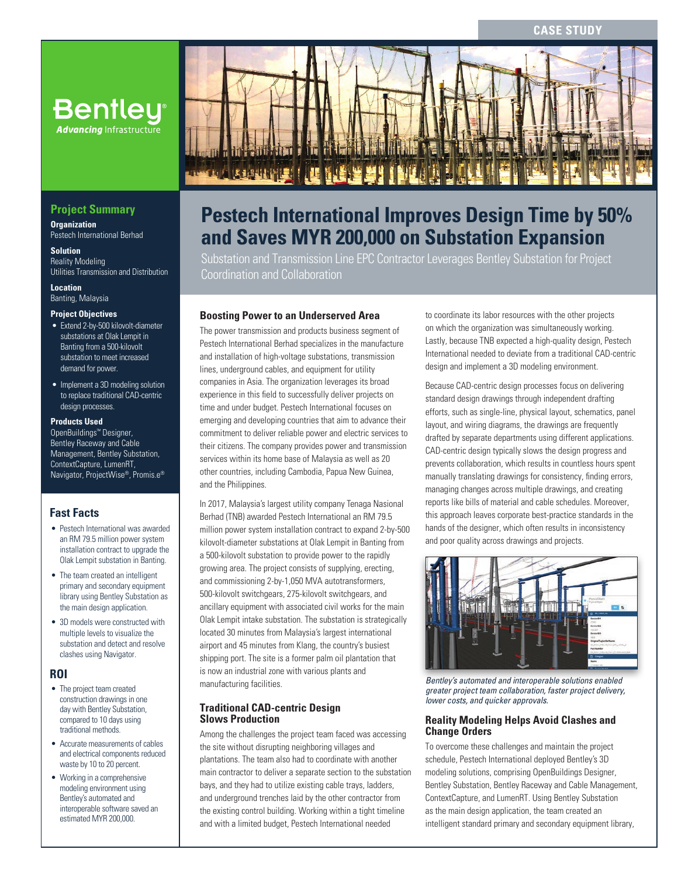### **CASE STUDY**



## **Project Summary**

**Organization** Pestech International Berhad

**Solution** Reality Modeling Utilities Transmission and Distribution

**Location** Banting, Malaysia

### **Project Objectives**

- Extend 2-by-500 kilovolt-diameter substations at Olak Lempit in Banting from a 500-kilovolt substation to meet increased demand for power.
- Implement a 3D modeling solution to replace traditional CAD-centric design processes.

#### **Products Used**

OpenBuildings™ Designer, Bentley Raceway and Cable Management, Bentley Substation, ContextCapture, LumenRT, Navigator, ProjectWise®, Promis.e®

### **Fast Facts**

- Pestech International was awarded an RM 79.5 million power system installation contract to upgrade the Olak Lempit substation in Banting.
- The team created an intelligent primary and secondary equipment library using Bentley Substation as the main design application.
- 3D models were constructed with multiple levels to visualize the substation and detect and resolve clashes using Navigator.

### **ROI**

- The project team created construction drawings in one day with Bentley Substation, compared to 10 days using traditional methods.
- Accurate measurements of cables and electrical components reduced waste by 10 to 20 percent.
- Working in a comprehensive modeling environment using Bentley's automated and interoperable software saved an estimated MYR 200,000.



# **Pestech International Improves Design Time by 50% and Saves MYR 200,000 on Substation Expansion**

Substation and Transmission Line EPC Contractor Leverages Bentley Substation for Project Coordination and Collaboration

### **Boosting Power to an Underserved Area**

The power transmission and products business segment of Pestech International Berhad specializes in the manufacture and installation of high-voltage substations, transmission lines, underground cables, and equipment for utility companies in Asia. The organization leverages its broad experience in this field to successfully deliver projects on time and under budget. Pestech International focuses on emerging and developing countries that aim to advance their commitment to deliver reliable power and electric services to their citizens. The company provides power and transmission services within its home base of Malaysia as well as 20 other countries, including Cambodia, Papua New Guinea, and the Philippines.

In 2017, Malaysia's largest utility company Tenaga Nasional Berhad (TNB) awarded Pestech International an RM 79.5 million power system installation contract to expand 2-by-500 kilovolt-diameter substations at Olak Lempit in Banting from a 500-kilovolt substation to provide power to the rapidly growing area. The project consists of supplying, erecting, and commissioning 2-by-1,050 MVA autotransformers, 500-kilovolt switchgears, 275-kilovolt switchgears, and ancillary equipment with associated civil works for the main Olak Lempit intake substation. The substation is strategically located 30 minutes from Malaysia's largest international airport and 45 minutes from Klang, the country's busiest shipping port. The site is a former palm oil plantation that is now an industrial zone with various plants and manufacturing facilities.

### **Traditional CAD-centric Design Slows Production**

Among the challenges the project team faced was accessing the site without disrupting neighboring villages and plantations. The team also had to coordinate with another main contractor to deliver a separate section to the substation bays, and they had to utilize existing cable trays, ladders, and underground trenches laid by the other contractor from the existing control building. Working within a tight timeline and with a limited budget, Pestech International needed

to coordinate its labor resources with the other projects on which the organization was simultaneously working. Lastly, because TNB expected a high-quality design, Pestech International needed to deviate from a traditional CAD-centric design and implement a 3D modeling environment.

Because CAD-centric design processes focus on delivering standard design drawings through independent drafting efforts, such as single-line, physical layout, schematics, panel layout, and wiring diagrams, the drawings are frequently drafted by separate departments using different applications. CAD-centric design typically slows the design progress and prevents collaboration, which results in countless hours spent manually translating drawings for consistency, finding errors, managing changes across multiple drawings, and creating reports like bills of material and cable schedules. Moreover, this approach leaves corporate best-practice standards in the hands of the designer, which often results in inconsistency and poor quality across drawings and projects.



*Bentley's automated and interoperable solutions enabled greater project team collaboration, faster project delivery, lower costs, and quicker approvals.*

### **Reality Modeling Helps Avoid Clashes and Change Orders**

To overcome these challenges and maintain the project schedule, Pestech International deployed Bentley's 3D modeling solutions, comprising OpenBuildings Designer, Bentley Substation, Bentley Raceway and Cable Management, ContextCapture, and LumenRT. Using Bentley Substation as the main design application, the team created an intelligent standard primary and secondary equipment library,